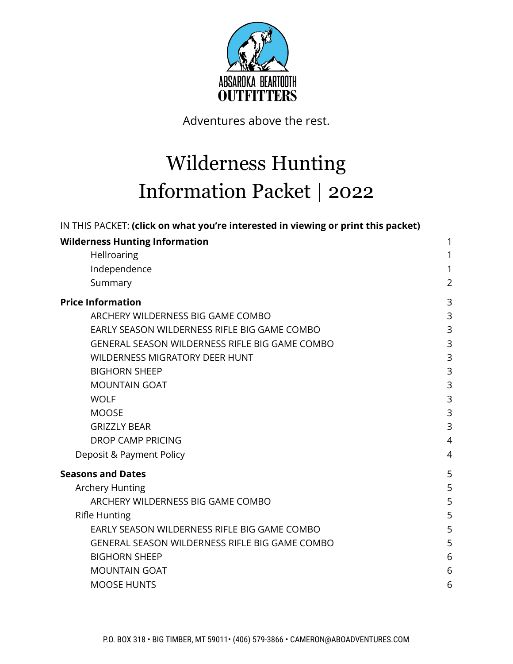

Adventures above the rest.

# Wilderness Hunting Information Packet | 2022

| IN THIS PACKET: (click on what you're interested in viewing or print this packet) |                |
|-----------------------------------------------------------------------------------|----------------|
| <b>Wilderness Hunting Information</b>                                             | 1              |
| Hellroaring                                                                       | 1              |
| Independence                                                                      | 1              |
| Summary                                                                           | $\overline{2}$ |
| <b>Price Information</b>                                                          | 3              |
| ARCHERY WILDERNESS BIG GAME COMBO                                                 | 3              |
| EARLY SEASON WILDERNESS RIFLE BIG GAME COMBO                                      | 3              |
| GENERAL SEASON WILDERNESS RIFLE BIG GAME COMBO                                    | 3              |
| <b>WILDERNESS MIGRATORY DEER HUNT</b>                                             | 3              |
| <b>BIGHORN SHEEP</b>                                                              | 3              |
| <b>MOUNTAIN GOAT</b>                                                              | 3              |
| <b>WOLF</b>                                                                       | 3              |
| <b>MOOSE</b>                                                                      | 3              |
| <b>GRIZZLY BEAR</b>                                                               | 3              |
| <b>DROP CAMP PRICING</b>                                                          | $\overline{4}$ |
| Deposit & Payment Policy                                                          | $\overline{4}$ |
| <b>Seasons and Dates</b>                                                          | 5              |
| <b>Archery Hunting</b>                                                            | 5              |
| ARCHERY WILDERNESS BIG GAME COMBO                                                 | 5              |
| <b>Rifle Hunting</b>                                                              | 5              |
| EARLY SEASON WILDERNESS RIFLE BIG GAME COMBO                                      | 5              |
| <b>GENERAL SEASON WILDERNESS RIFLE BIG GAME COMBO</b>                             | 5              |
| <b>BIGHORN SHEEP</b>                                                              | 6              |
| <b>MOUNTAIN GOAT</b>                                                              | 6              |
| <b>MOOSE HUNTS</b>                                                                | 6              |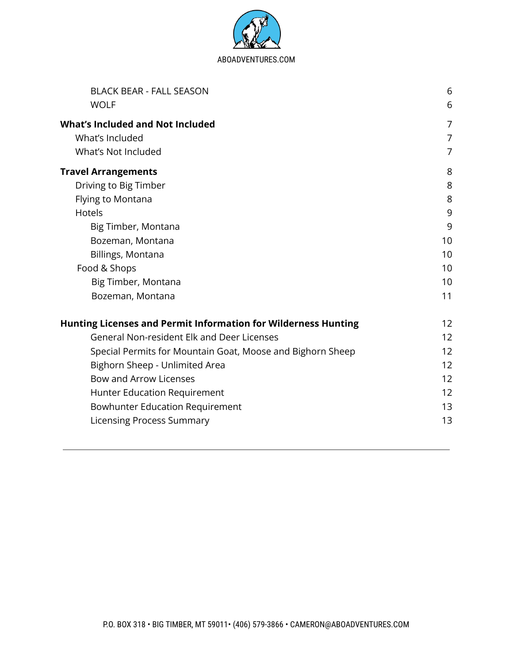

| <b>BLACK BEAR - FALL SEASON</b>                                       | 6              |
|-----------------------------------------------------------------------|----------------|
| <b>WOLF</b>                                                           | 6              |
| <b>What's Included and Not Included</b><br>What's Included            | 7<br>7         |
| What's Not Included                                                   | $\overline{7}$ |
| <b>Travel Arrangements</b>                                            | 8              |
| Driving to Big Timber                                                 | 8              |
| Flying to Montana                                                     | 8              |
| <b>Hotels</b>                                                         | 9              |
| Big Timber, Montana                                                   | 9              |
| Bozeman, Montana                                                      | 10             |
| Billings, Montana                                                     | 10             |
| Food & Shops                                                          | 10             |
| Big Timber, Montana                                                   | 10             |
| Bozeman, Montana                                                      | 11             |
| <b>Hunting Licenses and Permit Information for Wilderness Hunting</b> | 12             |
| <b>General Non-resident Elk and Deer Licenses</b>                     | 12             |
| Special Permits for Mountain Goat, Moose and Bighorn Sheep            | 12             |
| Bighorn Sheep - Unlimited Area                                        | 12             |
| <b>Bow and Arrow Licenses</b>                                         | 12             |
| Hunter Education Requirement                                          | 12             |
| <b>Bowhunter Education Requirement</b>                                | 13             |
| <b>Licensing Process Summary</b>                                      | 13             |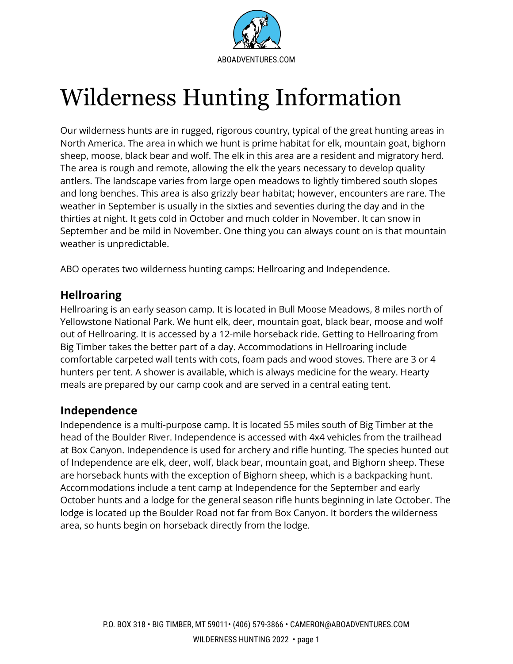

# <span id="page-2-0"></span>Wilderness Hunting Information

Our wilderness hunts are in rugged, rigorous country, typical of the great hunting areas in North America. The area in which we hunt is prime habitat for elk, mountain goat, bighorn sheep, moose, black bear and wolf. The elk in this area are a resident and migratory herd. The area is rough and remote, allowing the elk the years necessary to develop quality antlers. The landscape varies from large open meadows to lightly timbered south slopes and long benches. This area is also grizzly bear habitat; however, encounters are rare. The weather in September is usually in the sixties and seventies during the day and in the thirties at night. It gets cold in October and much colder in November. It can snow in September and be mild in November. One thing you can always count on is that mountain weather is unpredictable.

ABO operates two wilderness hunting camps: Hellroaring and Independence.

## <span id="page-2-1"></span>**Hellroaring**

Hellroaring is an early season camp. It is located in Bull Moose Meadows, 8 miles north of Yellowstone National Park. We hunt elk, deer, mountain goat, black bear, moose and wolf out of Hellroaring. It is accessed by a 12-mile horseback ride. Getting to Hellroaring from Big Timber takes the better part of a day. Accommodations in Hellroaring include comfortable carpeted wall tents with cots, foam pads and wood stoves. There are 3 or 4 hunters per tent. A shower is available, which is always medicine for the weary. Hearty meals are prepared by our camp cook and are served in a central eating tent.

# <span id="page-2-2"></span>**Independence**

Independence is a multi-purpose camp. It is located 55 miles south of Big Timber at the head of the Boulder River. Independence is accessed with 4x4 vehicles from the trailhead at Box Canyon. Independence is used for archery and rifle hunting. The species hunted out of Independence are elk, deer, wolf, black bear, mountain goat, and Bighorn sheep. These are horseback hunts with the exception of Bighorn sheep, which is a backpacking hunt. Accommodations include a tent camp at Independence for the September and early October hunts and a lodge for the general season rifle hunts beginning in late October. The lodge is located up the Boulder Road not far from Box Canyon. It borders the wilderness area, so hunts begin on horseback directly from the lodge.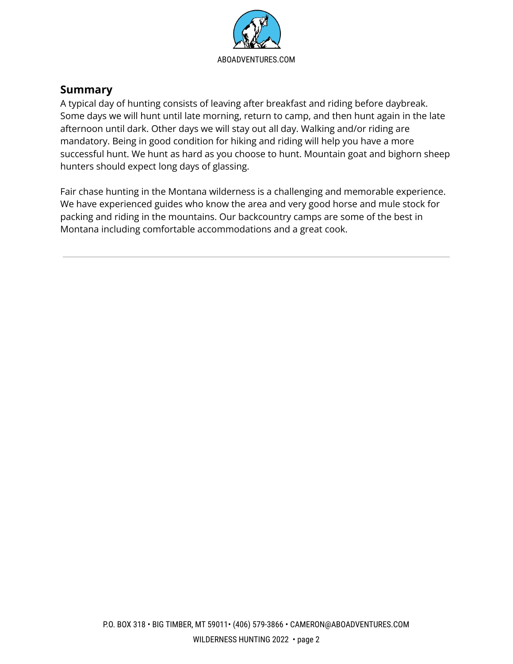

# <span id="page-3-0"></span>**Summary**

A typical day of hunting consists of leaving after breakfast and riding before daybreak. Some days we will hunt until late morning, return to camp, and then hunt again in the late afternoon until dark. Other days we will stay out all day. Walking and/or riding are mandatory. Being in good condition for hiking and riding will help you have a more successful hunt. We hunt as hard as you choose to hunt. Mountain goat and bighorn sheep hunters should expect long days of glassing.

Fair chase hunting in the Montana wilderness is a challenging and memorable experience. We have experienced guides who know the area and very good horse and mule stock for packing and riding in the mountains. Our backcountry camps are some of the best in Montana including comfortable accommodations and a great cook.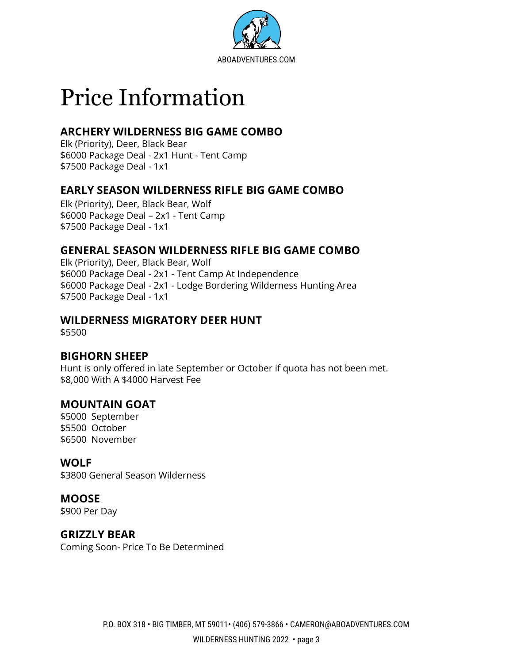

# <span id="page-4-0"></span>Price Information

# <span id="page-4-1"></span>**ARCHERY WILDERNESS BIG GAME COMBO**

Elk (Priority), Deer, Black Bear \$6000 Package Deal - 2x1 Hunt - Tent Camp \$7500 Package Deal - 1x1

## <span id="page-4-2"></span>**EARLY SEASON WILDERNESS RIFLE BIG GAME COMBO**

Elk (Priority), Deer, Black Bear, Wolf \$6000 Package Deal – 2x1 - Tent Camp \$7500 Package Deal - 1x1

## <span id="page-4-3"></span>**GENERAL SEASON WILDERNESS RIFLE BIG GAME COMBO**

Elk (Priority), Deer, Black Bear, Wolf \$6000 Package Deal - 2x1 - Tent Camp At Independence \$6000 Package Deal - 2x1 - Lodge Bordering Wilderness Hunting Area \$7500 Package Deal - 1x1

## <span id="page-4-4"></span>**WILDERNESS MIGRATORY DEER HUNT**

\$5500

## <span id="page-4-5"></span>**BIGHORN SHEEP**

Hunt is only offered in late September or October if quota has not been met. \$8,000 With A \$4000 Harvest Fee

## <span id="page-4-6"></span>**MOUNTAIN GOAT**

\$5000 September \$5500 October \$6500 November

## <span id="page-4-7"></span>**WOLF**

\$3800 General Season Wilderness

## <span id="page-4-8"></span>**MOOSE**

\$900 Per Day

## <span id="page-4-9"></span>**GRIZZLY BEAR**

Coming Soon- Price To Be Determined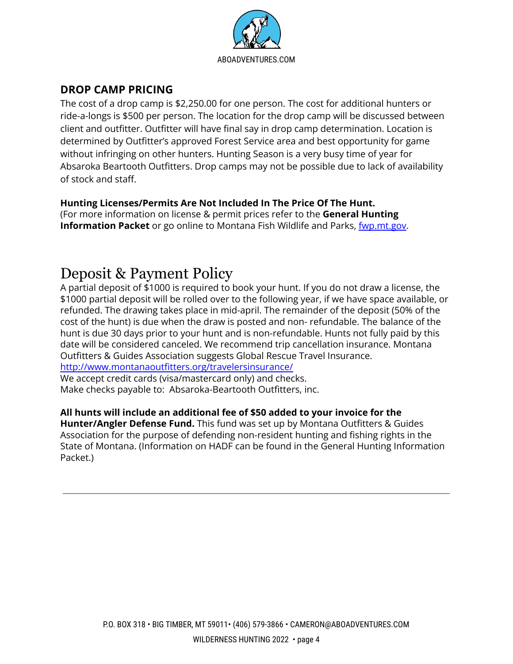

# <span id="page-5-0"></span>**DROP CAMP PRICING**

The cost of a drop camp is \$2,250.00 for one person. The cost for additional hunters or ride-a-longs is \$500 per person. The location for the drop camp will be discussed between client and outfitter. Outfitter will have final say in drop camp determination. Location is determined by Outfitter's approved Forest Service area and best opportunity for game without infringing on other hunters. Hunting Season is a very busy time of year for Absaroka Beartooth Outfitters. Drop camps may not be possible due to lack of availability of stock and staff.

#### **Hunting Licenses/Permits Are Not Included In The Price Of The Hunt.**

(For more information on license & permit prices refer to the **General Hunting Information Packet** or go online to Montana Fish Wildlife and Parks, *[fwp.mt.gov](http://www.fwp.mt.gov).* 

# <span id="page-5-1"></span>Deposit & Payment Policy

A partial deposit of \$1000 is required to book your hunt. If you do not draw a license, the \$1000 partial deposit will be rolled over to the following year, if we have space available, or refunded. The drawing takes place in mid-april. The remainder of the deposit (50% of the cost of the hunt) is due when the draw is posted and non- refundable. The balance of the hunt is due 30 days prior to your hunt and is non-refundable. Hunts not fully paid by this date will be considered canceled. We recommend trip cancellation insurance. Montana Outfitters & Guides Association suggests Global Rescue Travel Insurance.

<http://www.montanaoutfitters.org/travelersinsurance/>

We accept credit cards (visa/mastercard only) and checks. Make checks payable to: Absaroka-Beartooth Outfitters, inc.

#### **All hunts will include an additional fee of \$50 added to your invoice for the**

**Hunter/Angler Defense Fund.** This fund was set up by Montana Outfitters & Guides Association for the purpose of defending non-resident hunting and fishing rights in the State of Montana. (Information on HADF can be found in the General Hunting Information Packet.)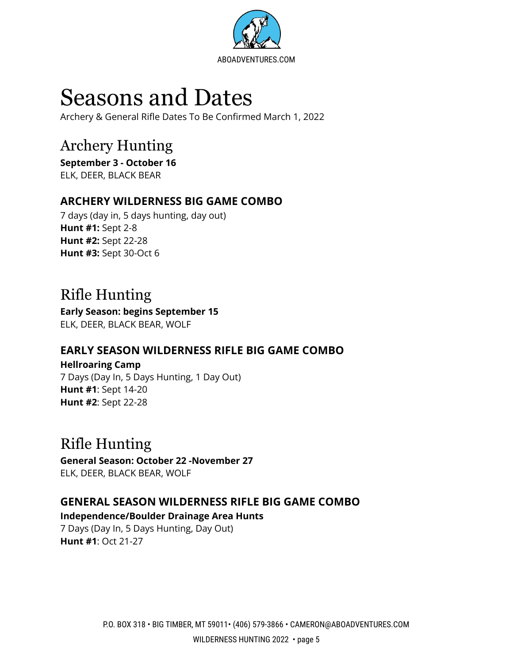

# <span id="page-6-0"></span>Seasons and Dates

Archery & General Rifle Dates To Be Confirmed March 1, 2022

# <span id="page-6-1"></span>Archery Hunting

**September 3 - October 16** ELK, DEER, BLACK BEAR

# <span id="page-6-2"></span>**ARCHERY WILDERNESS BIG GAME COMBO**

7 days (day in, 5 days hunting, day out) **Hunt #1:** Sept 2-8 **Hunt #2:** Sept 22-28 **Hunt #3:** Sept 30-Oct 6

# <span id="page-6-3"></span>Rifle Hunting

**Early Season: begins September 15** ELK, DEER, BLACK BEAR, WOLF

# <span id="page-6-4"></span>**EARLY SEASON WILDERNESS RIFLE BIG GAME COMBO**

**Hellroaring Camp** 7 Days (Day In, 5 Days Hunting, 1 Day Out) **Hunt #1**: Sept 14-20 **Hunt #2**: Sept 22-28

# Rifle Hunting

**General Season: October 22 -November 27** ELK, DEER, BLACK BEAR, WOLF

# <span id="page-6-5"></span>**GENERAL SEASON WILDERNESS RIFLE BIG GAME COMBO**

#### **Independence/Boulder Drainage Area Hunts**

7 Days (Day In, 5 Days Hunting, Day Out) **Hunt #1**: Oct 21-27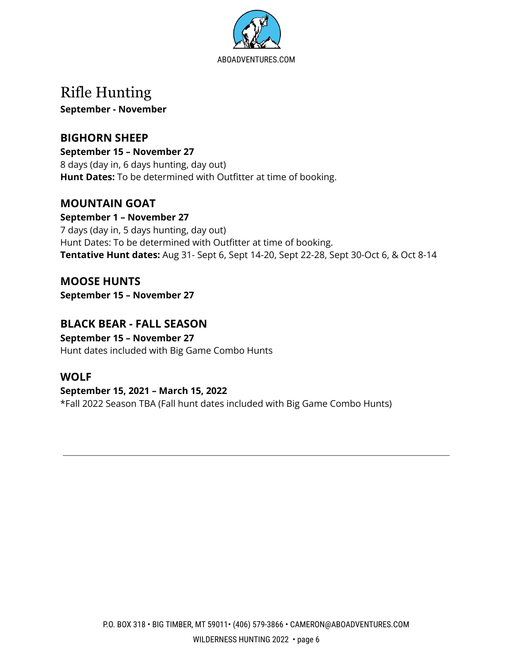

# Rifle Hunting

**September - November**

# <span id="page-7-0"></span>**BIGHORN SHEEP**

**September 15 – November 27** 8 days (day in, 6 days hunting, day out) **Hunt Dates:** To be determined with Outfitter at time of booking.

# <span id="page-7-1"></span>**MOUNTAIN GOAT**

**September 1 – November 27** 7 days (day in, 5 days hunting, day out) Hunt Dates: To be determined with Outfitter at time of booking. **Tentative Hunt dates:** Aug 31- Sept 6, Sept 14-20, Sept 22-28, Sept 30-Oct 6, & Oct 8-14

<span id="page-7-2"></span>**MOOSE HUNTS September 15 – November 27**

# <span id="page-7-3"></span>**BLACK BEAR - FALL SEASON**

**September 15 – November 27** Hunt dates included with Big Game Combo Hunts

# <span id="page-7-4"></span>**WOLF**

#### **September 15, 2021 – March 15, 2022**

\*Fall 2022 Season TBA (Fall hunt dates included with Big Game Combo Hunts)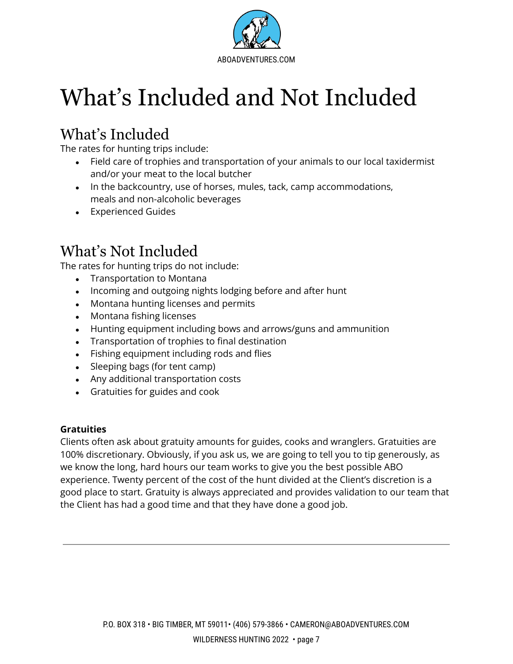

# <span id="page-8-0"></span>What's Included and Not Included

# What's Included

The rates for hunting trips include:

- Field care of trophies and transportation of your animals to our local taxidermist and/or your meat to the local butcher
- In the backcountry, use of horses, mules, tack, camp accommodations, meals and non-alcoholic beverages
- Experienced Guides

# What's Not Included

The rates for hunting trips do not include:

- Transportation to Montana
- Incoming and outgoing nights lodging before and after hunt
- Montana hunting licenses and permits
- Montana fishing licenses
- Hunting equipment including bows and arrows/guns and ammunition
- Transportation of trophies to final destination
- Fishing equipment including rods and flies
- Sleeping bags (for tent camp)
- Any additional transportation costs
- Gratuities for guides and cook

#### **Gratuities**

Clients often ask about gratuity amounts for guides, cooks and wranglers. Gratuities are 100% discretionary. Obviously, if you ask us, we are going to tell you to tip generously, as we know the long, hard hours our team works to give you the best possible ABO experience. Twenty percent of the cost of the hunt divided at the Client's discretion is a good place to start. Gratuity is always appreciated and provides validation to our team that the Client has had a good time and that they have done a good job.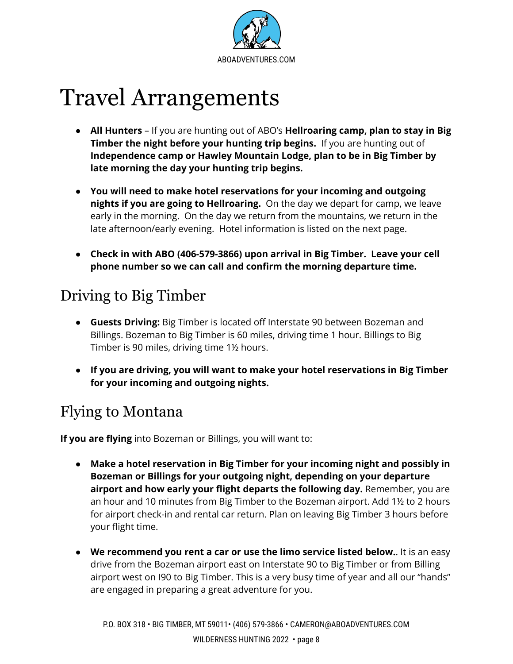

# <span id="page-9-0"></span>Travel Arrangements

- **All Hunters** If you are hunting out of ABO's **Hellroaring camp, plan to stay in Big Timber the night before your hunting trip begins.** If you are hunting out of **Independence camp or Hawley Mountain Lodge, plan to be in Big Timber by late morning the day your hunting trip begins.**
- **You will need to make hotel reservations for your incoming and outgoing nights if you are going to Hellroaring.** On the day we depart for camp, we leave early in the morning. On the day we return from the mountains, we return in the late afternoon/early evening. Hotel information is listed on the next page.
- **● Check in with ABO (406-579-3866) upon arrival in Big Timber. Leave your cell phone number so we can call and confirm the morning departure time.**

# Driving to Big Timber

- **Guests Driving:** Big Timber is located off Interstate 90 between Bozeman and Billings. Bozeman to Big Timber is 60 miles, driving time 1 hour. Billings to Big Timber is 90 miles, driving time 1½ hours.
- **● If you are driving, you will want to make your hotel reservations in Big Timber for your incoming and outgoing nights.**

# Flying to Montana

**If you are flying** into Bozeman or Billings, you will want to:

- **● Make a hotel reservation in Big Timber for your incoming night and possibly in Bozeman or Billings for your outgoing night, depending on your departure airport and how early your flight departs the following day.** Remember, you are an hour and 10 minutes from Big Timber to the Bozeman airport. Add 1½ to 2 hours for airport check-in and rental car return. Plan on leaving Big Timber 3 hours before your flight time.
- **We recommend you rent a car or use the limo service listed below.**. It is an easy drive from the Bozeman airport east on Interstate 90 to Big Timber or from Billing airport west on I90 to Big Timber. This is a very busy time of year and all our "hands" are engaged in preparing a great adventure for you.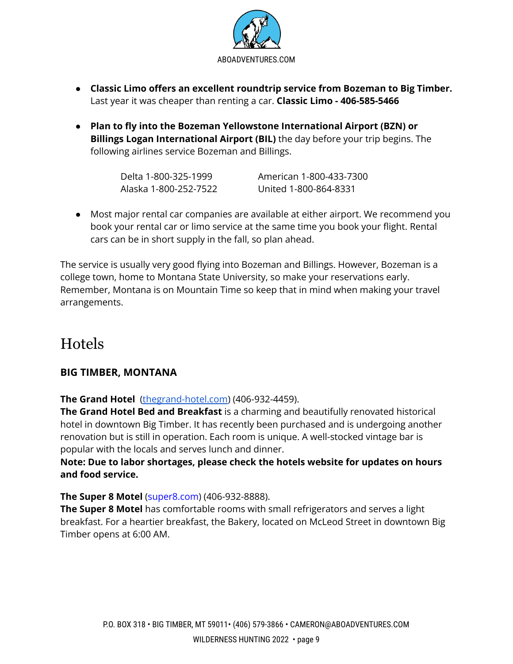

- **Classic Limo offers an excellent roundtrip service from Bozeman to Big Timber.** Last year it was cheaper than renting a car. **Classic Limo - 406-585-5466**
- **Plan to fly into the Bozeman Yellowstone International Airport (BZN) or Billings Logan International Airport (BIL)** the day before your trip begins. The following airlines service Bozeman and Billings.

| Delta 1-800-325-1999  | American 1-800-433-7300 |
|-----------------------|-------------------------|
| Alaska 1-800-252-7522 | United 1-800-864-8331   |

● Most major rental car companies are available at either airport. We recommend you book your rental car or limo service at the same time you book your flight. Rental cars can be in short supply in the fall, so plan ahead.

The service is usually very good flying into Bozeman and Billings. However, Bozeman is a college town, home to Montana State University, so make your reservations early. Remember, Montana is on Mountain Time so keep that in mind when making your travel arrangements.

# Hotels

## **BIG TIMBER, MONTANA**

**The Grand Hotel** [\(thegrand-hotel.com\)](https://www.thegrand-hotel.com/) (406-932-4459).

**The Grand Hotel Bed and Breakfast** is a charming and beautifully renovated historical hotel in downtown Big Timber. It has recently been purchased and is undergoing another renovation but is still in operation. Each room is unique. A well-stocked vintage bar is popular with the locals and serves lunch and dinner.

#### **Note: Due to labor shortages, please check the hotels website for updates on hours and food service.**

#### **The Super 8 Motel** (super8.com) (406-932-8888).

**The Super 8 Motel** has comfortable rooms with small refrigerators and serves a light breakfast. For a heartier breakfast, the Bakery, located on McLeod Street in downtown Big Timber opens at 6:00 AM.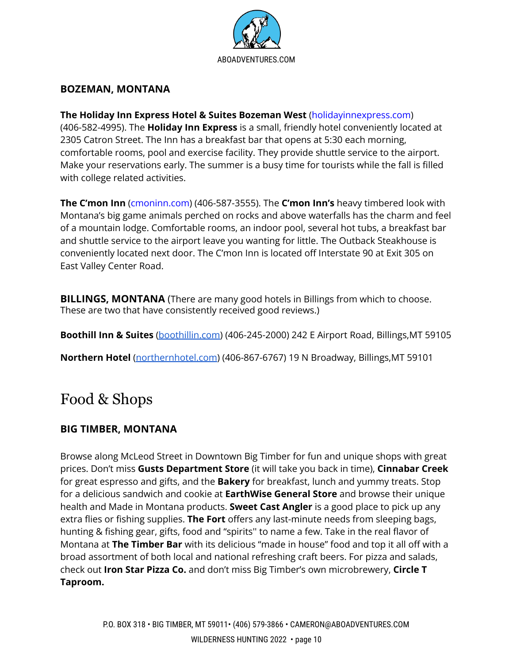

#### **BOZEMAN, MONTANA**

#### **The Holiday Inn Express Hotel & Suites Bozeman West** (holidayinnexpress.com)

(406-582-4995). The **Holiday Inn Express** is a small, friendly hotel conveniently located at 2305 Catron Street. The Inn has a breakfast bar that opens at 5:30 each morning, comfortable rooms, pool and exercise facility. They provide shuttle service to the airport. Make your reservations early. The summer is a busy time for tourists while the fall is filled with college related activities.

**The C'mon Inn** (cmoninn.com) (406-587-3555). The **C'mon Inn's** heavy timbered look with Montana's big game animals perched on rocks and above waterfalls has the charm and feel of a mountain lodge. Comfortable rooms, an indoor pool, several hot tubs, a breakfast bar and shuttle service to the airport leave you wanting for little. The Outback Steakhouse is conveniently located next door. The C'mon Inn is located off Interstate 90 at Exit 305 on East Valley Center Road.

**BILLINGS, MONTANA** (There are many good hotels in Billings from which to choose. These are two that have consistently received good reviews.)

**Boothill Inn & Suites** [\(boothillin.com\)](http://www.boothillin.com) (406-245-2000) 242 E Airport Road, Billings,MT 59105

**Northern Hotel** [\(northernhotel.com](http://www.northernhotel.com)) (406-867-6767) 19 N Broadway, Billings,MT 59101

# Food & Shops

## **BIG TIMBER, MONTANA**

Browse along McLeod Street in Downtown Big Timber for fun and unique shops with great prices. Don't miss **Gusts Department Store** (it will take you back in time), **Cinnabar Creek** for great espresso and gifts, and the **Bakery** for breakfast, lunch and yummy treats. Stop for a delicious sandwich and cookie at **EarthWise General Store** and browse their unique health and Made in Montana products. **Sweet Cast Angler** is a good place to pick up any extra flies or fishing supplies. **The Fort** offers any last-minute needs from sleeping bags, hunting & fishing gear, gifts, food and "spirits'' to name a few. Take in the real flavor of Montana at **The Timber Bar** with its delicious "made in house" food and top it all off with a broad assortment of both local and national refreshing craft beers. For pizza and salads, check out **Iron Star Pizza Co.** and don't miss Big Timber's own microbrewery, **Circle T Taproom.**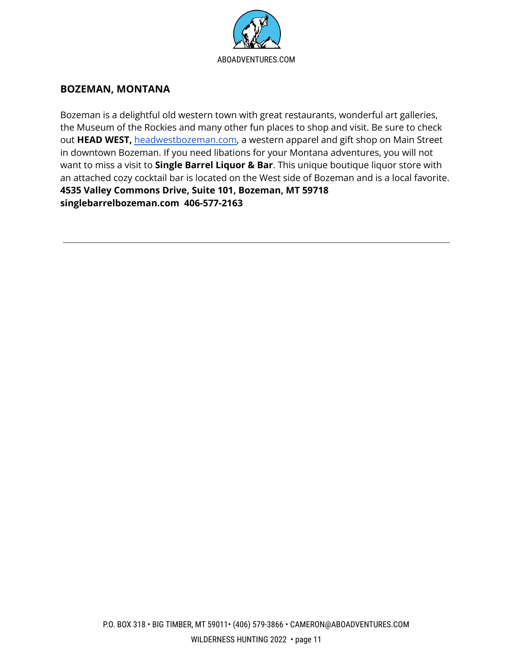

#### **BOZEMAN, MONTANA**

Bozeman is a delightful old western town with great restaurants, wonderful art galleries, the Museum of the Rockies and many other fun places to shop and visit. Be sure to check out **HEAD WEST,** [headwestbozeman.com,](http://www.headwestbozeman.com) a western apparel and gift shop on Main Street in downtown Bozeman. If you need libations for your Montana adventures, you will not want to miss a visit to **Single Barrel Liquor & Bar**. This unique boutique liquor store with an attached cozy cocktail bar is located on the West side of Bozeman and is a local favorite. **4535 Valley Commons Drive, Suite 101, Bozeman, MT 59718 singlebarrelbozeman.com 406-577-2163**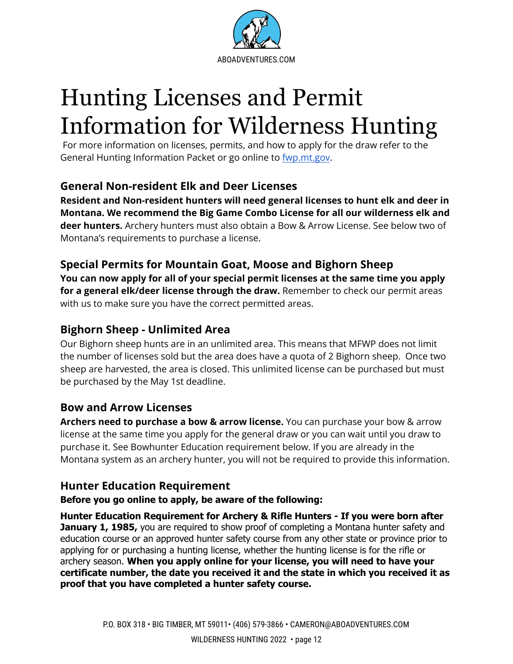

# <span id="page-13-0"></span>Hunting Licenses and Permit Information for Wilderness Hunting

For more information on licenses, permits, and how to apply for the draw refer to the General Hunting Information Packet or go online to [fwp.mt.gov.](http://www.fwp.mt.gov)

# **General Non-resident Elk and Deer Licenses**

**Resident and Non-resident hunters will need general licenses to hunt elk and deer in Montana. We recommend the Big Game Combo License for all our wilderness elk and deer hunters.** Archery hunters must also obtain a Bow & Arrow License. See below two of Montana's requirements to purchase a license.

# <span id="page-13-1"></span>**Special Permits for Mountain Goat, Moose and Bighorn Sheep**

**You can now apply for all of your special permit licenses at the same time you apply for a general elk/deer license through the draw.** Remember to check our permit areas with us to make sure you have the correct permitted areas.

# <span id="page-13-2"></span>**Bighorn Sheep - Unlimited Area**

Our Bighorn sheep hunts are in an unlimited area. This means that MFWP does not limit the number of licenses sold but the area does have a quota of 2 Bighorn sheep. Once two sheep are harvested, the area is closed. This unlimited license can be purchased but must be purchased by the May 1st deadline.

# <span id="page-13-3"></span>**Bow and Arrow Licenses**

**Archers need to purchase a bow & arrow license.** You can purchase your bow & arrow license at the same time you apply for the general draw or you can wait until you draw to purchase it. See Bowhunter Education requirement below. If you are already in the Montana system as an archery hunter, you will not be required to provide this information.

# <span id="page-13-4"></span>**Hunter Education Requirement**

#### **Before you go online to apply, be aware of the following:**

**Hunter Education Requirement for Archery & Rifle Hunters - If you were born after January 1, 1985,** you are required to show proof of completing a Montana hunter safety and education course or an approved hunter safety course from any other state or province prior to applying for or purchasing a hunting license, whether the hunting license is for the rifle or archery season. **When you apply online for your license, you will need to have your certificate number, the date you received it and the state in which you received it as proof that you have completed a hunter safety course.**